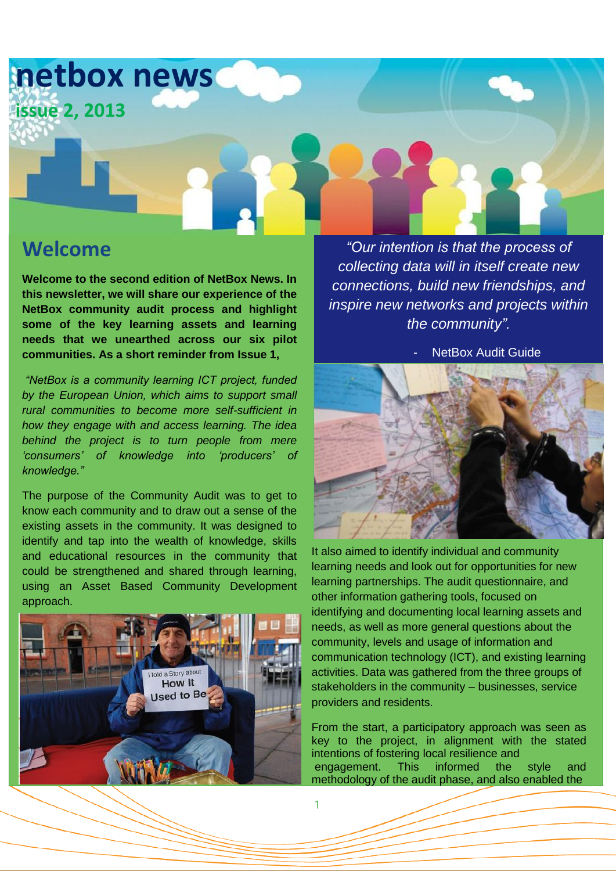

1

### **Welcome**

**Welcome to the second edition of NetBox News. In this newsletter, we will share our experience of the NetBox community audit process and highlight some of the key learning assets and learning needs that we unearthed across our six pilot communities. As a short reminder from Issue 1,**

*"NetBox is a community learning ICT project, funded by the European Union, which aims to support small rural communities to become more self-sufficient in how they engage with and access learning. The idea behind the project is to turn people from mere 'consumers' of knowledge into 'producers' of knowledge."*

The purpose of the Community Audit was to get to know each community and to draw out a sense of the existing assets in the community. It was designed to identify and tap into the wealth of knowledge, skills and educational resources in the community that could be strengthened and shared through learning, using an Asset Based Community Development approach.



*"Our intention is that the process of collecting data will in itself create new connections, build new friendships, and inspire new networks and projects within the community".*

**NetBox Audit Guide** 



It also aimed to identify individual and community learning needs and look out for opportunities for new learning partnerships. The audit questionnaire, and other information gathering tools, focused on identifying and documenting local learning assets and needs, as well as more general questions about the community, levels and usage of information and communication technology (ICT), and existing learning activities. Data was gathered from the three groups of stakeholders in the community – businesses, service providers and residents.

From the start, a participatory approach was seen as key to the project, in alignment with the stated intentions of fostering local resilience and engagement. This informed the style and methodology of the audit phase, and also enabled the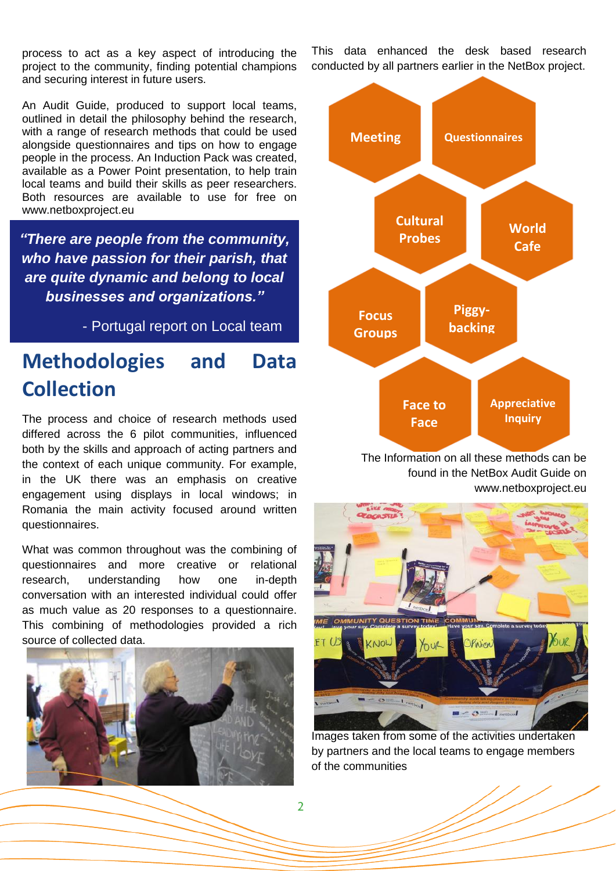process to act as a key aspect of introducing the project to the community, finding potential champions and securing interest in future users.

An Audit Guide, produced to support local teams, outlined in detail the philosophy behind the research, with a range of research methods that could be used alongside questionnaires and tips on how to engage people in the process. An Induction Pack was created, available as a Power Point presentation, to help train local teams and build their skills as peer researchers. Both resources are available to use for free on [www.netboxproject.eu](http://www.netboxproject.eu/)

*"There are people from the community, who have passion for their parish, that are quite dynamic and belong to local businesses and organizations."*

- Portugal report on Local team

### **Methodologies and Data Collection**

The process and choice of research methods used differed across the 6 pilot communities, influenced both by the skills and approach of acting partners and the context of each unique community. For example, in the UK there was an emphasis on creative engagement using displays in local windows; in Romania the main activity focused around written questionnaires.

What was common throughout was the combining of questionnaires and more creative or relational research, understanding how one in-depth conversation with an interested individual could offer as much value as 20 responses to a questionnaire. This combining of methodologies provided a rich source of collected data.



This data enhanced the desk based research conducted by all partners earlier in the NetBox project.



The Information on all these methods can be found in the NetBox Audit Guide on www.netboxproject.eu



Images taken from some of the activities undertaken by partners and the local teams to engage members of the communities

 $\overline{2}$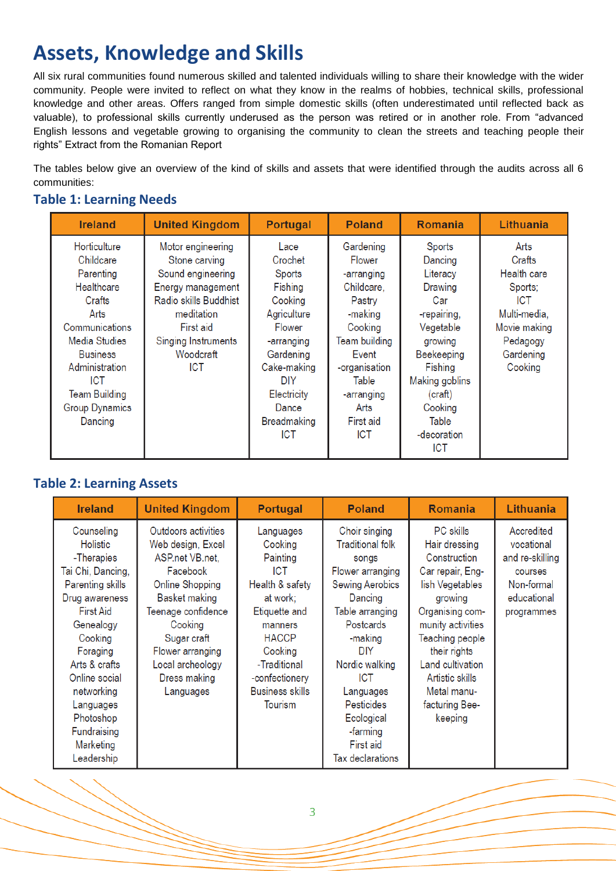# **Assets, Knowledge and Skills**

All six rural communities found numerous skilled and talented individuals willing to share their knowledge with the wider community. People were invited to reflect on what they know in the realms of hobbies, technical skills, professional knowledge and other areas. Offers ranged from simple domestic skills (often underestimated until reflected back as valuable), to professional skills currently underused as the person was retired or in another role. From "advanced English lessons and vegetable growing to organising the community to clean the streets and teaching people their rights" Extract from the Romanian Report

The tables below give an overview of the kind of skills and assets that were identified through the audits across all 6 communities:

#### **Table 1: Learning Needs**

| <b>Ireland</b>                                                                                                                                                                                                           | <b>United Kingdom</b>                                                                                                                                                              | <b>Portugal</b>                                                                                                                                                                       | <b>Poland</b>                                                                                                                                                                                      | <b>Romania</b>                                                                                                                                                                                       | Lithuania                                                                                                                  |
|--------------------------------------------------------------------------------------------------------------------------------------------------------------------------------------------------------------------------|------------------------------------------------------------------------------------------------------------------------------------------------------------------------------------|---------------------------------------------------------------------------------------------------------------------------------------------------------------------------------------|----------------------------------------------------------------------------------------------------------------------------------------------------------------------------------------------------|------------------------------------------------------------------------------------------------------------------------------------------------------------------------------------------------------|----------------------------------------------------------------------------------------------------------------------------|
| Horticulture<br>Childcare<br>Parenting<br>Healthcare<br>Crafts<br>Arts<br>Communications<br>Media Studies<br><b>Business</b><br>Administration<br><b>ICT</b><br><b>Team Building</b><br><b>Group Dynamics</b><br>Dancing | Motor engineering<br>Stone carving<br>Sound engineering<br>Energy management<br>Radio skills Buddhist<br>meditation<br>First aid<br>Singing Instruments<br>Woodcraft<br><b>ICT</b> | Lace<br>Crochet<br>Sports<br>Fishing<br>Cooking<br>Agriculture<br>Flower<br>-arranging<br>Gardening<br>Cake-making<br>DIY<br>Electricity<br>Dance<br><b>Breadmaking</b><br><b>ICT</b> | Gardening<br>Flower<br>-arranging<br>Childcare,<br>Pastry<br>-making<br>Cooking<br><b>Team building</b><br>Event<br>-organisation<br>Table<br>-arranging<br>Arts<br><b>First aid</b><br><b>ICT</b> | Sports<br>Dancing<br>Literacy<br>Drawing<br>Car<br>-repairing,<br>Vegetable<br>growing<br>Beekeeping<br>Fishing<br><b>Making goblins</b><br>(craft)<br>Cooking<br>Table<br>-decoration<br><b>ICT</b> | Arts<br>Crafts<br>Health care<br>Sports;<br><b>ICT</b><br>Multi-media,<br>Movie making<br>Pedagogy<br>Gardening<br>Cooking |

### **Table 2: Learning Assets**

| <b>Ireland</b>                                                                                                                                                                                                                                                                     | <b>United Kingdom</b>                                                                                                                                                                                                                   | <b>Portugal</b>                                                                                                                                                                                             | <b>Poland</b>                                                                                                                                                                                                                                                                                                  | <b>Romania</b>                                                                                                                                                                                                                                                    | Lithuania                                                                                         |
|------------------------------------------------------------------------------------------------------------------------------------------------------------------------------------------------------------------------------------------------------------------------------------|-----------------------------------------------------------------------------------------------------------------------------------------------------------------------------------------------------------------------------------------|-------------------------------------------------------------------------------------------------------------------------------------------------------------------------------------------------------------|----------------------------------------------------------------------------------------------------------------------------------------------------------------------------------------------------------------------------------------------------------------------------------------------------------------|-------------------------------------------------------------------------------------------------------------------------------------------------------------------------------------------------------------------------------------------------------------------|---------------------------------------------------------------------------------------------------|
| Counseling<br><b>Holistic</b><br>-Therapies<br>Tai Chi, Dancing,<br>Parenting skills<br>Drug awareness<br><b>First Aid</b><br>Genealogy<br>Cooking<br>Foraging<br>Arts & crafts<br>Online social<br>networking<br>Languages<br>Photoshop<br>Fundraising<br>Marketing<br>Leadership | Outdoors activities<br>Web design, Excel<br>ASP.net VB.net,<br>Facebook<br><b>Online Shopping</b><br>Basket making<br>Teenage confidence<br>Cooking<br>Sugar craft<br>Flower arranging<br>Local archeology<br>Dress making<br>Languages | Languages<br>Cooking<br>Painting<br><b>ICT</b><br>Health & safety<br>at work;<br>Etiquette and<br>manners<br><b>HACCP</b><br>Cooking<br>-Traditional<br>-confectionery<br><b>Business skills</b><br>Tourism | Choir singing<br><b>Traditional folk</b><br>songs<br>Flower arranging<br><b>Sewing Aerobics</b><br>Dancing<br>Table arranging<br><b>Postcards</b><br>-making<br><b>DIY</b><br>Nordic walking<br><b>ICT</b><br>Languages<br><b>Pesticides</b><br>Ecological<br>-farming<br><b>First aid</b><br>Tax declarations | <b>PC</b> skills<br>Hair dressing<br>Construction<br>Car repair, Eng-<br>lish Vegetables<br>growing<br>Organising com-<br>munity activities<br>Teaching people<br>their rights<br>Land cultivation<br>Artistic skills<br>Metal manu-<br>facturing Bee-<br>keeping | Accredited<br>vocational<br>and re-skilling<br>courses<br>Non-formal<br>educational<br>programmes |